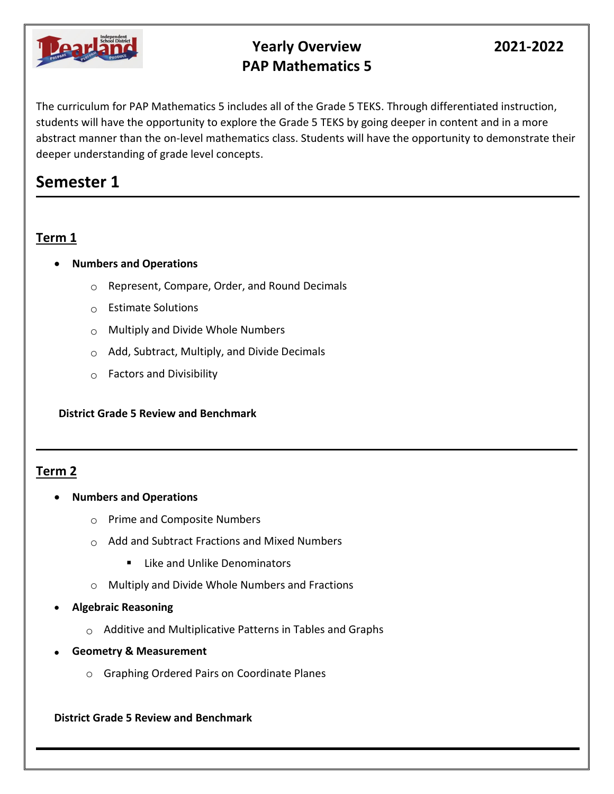

## **Yearly Overview 2021-2022 PAP Mathematics 5**

The curriculum for PAP Mathematics 5 includes all of the Grade 5 TEKS. Through differentiated instruction, students will have the opportunity to explore the Grade 5 TEKS by going deeper in content and in a more abstract manner than the on-level mathematics class. Students will have the opportunity to demonstrate their deeper understanding of grade level concepts.

# **Semester 1**

## **Term 1**

- **Numbers and Operations**
	- $\circ$  Represent, Compare, Order, and Round Decimals
	- $\circ$  Estimate Solutions
	- $\circ$  Multiply and Divide Whole Numbers
	- $\circ$  Add, Subtract, Multiply, and Divide Decimals
	- $\circ$  Factors and Divisibility

#### **District Grade 5 Review and Benchmark**

### **Term 2**

- **Numbers and Operations**
	- $\circ$  Prime and Composite Numbers
	- o Add and Subtract Fractions and Mixed Numbers
		- Like and Unlike Denominators
	- o Multiply and Divide Whole Numbers and Fractions
- **Algebraic Reasoning**
	- $\circ$  Additive and Multiplicative Patterns in Tables and Graphs
- **Geometry & Measurement**
	- o Graphing Ordered Pairs on Coordinate Planes

#### **District Grade 5 Review and Benchmark**